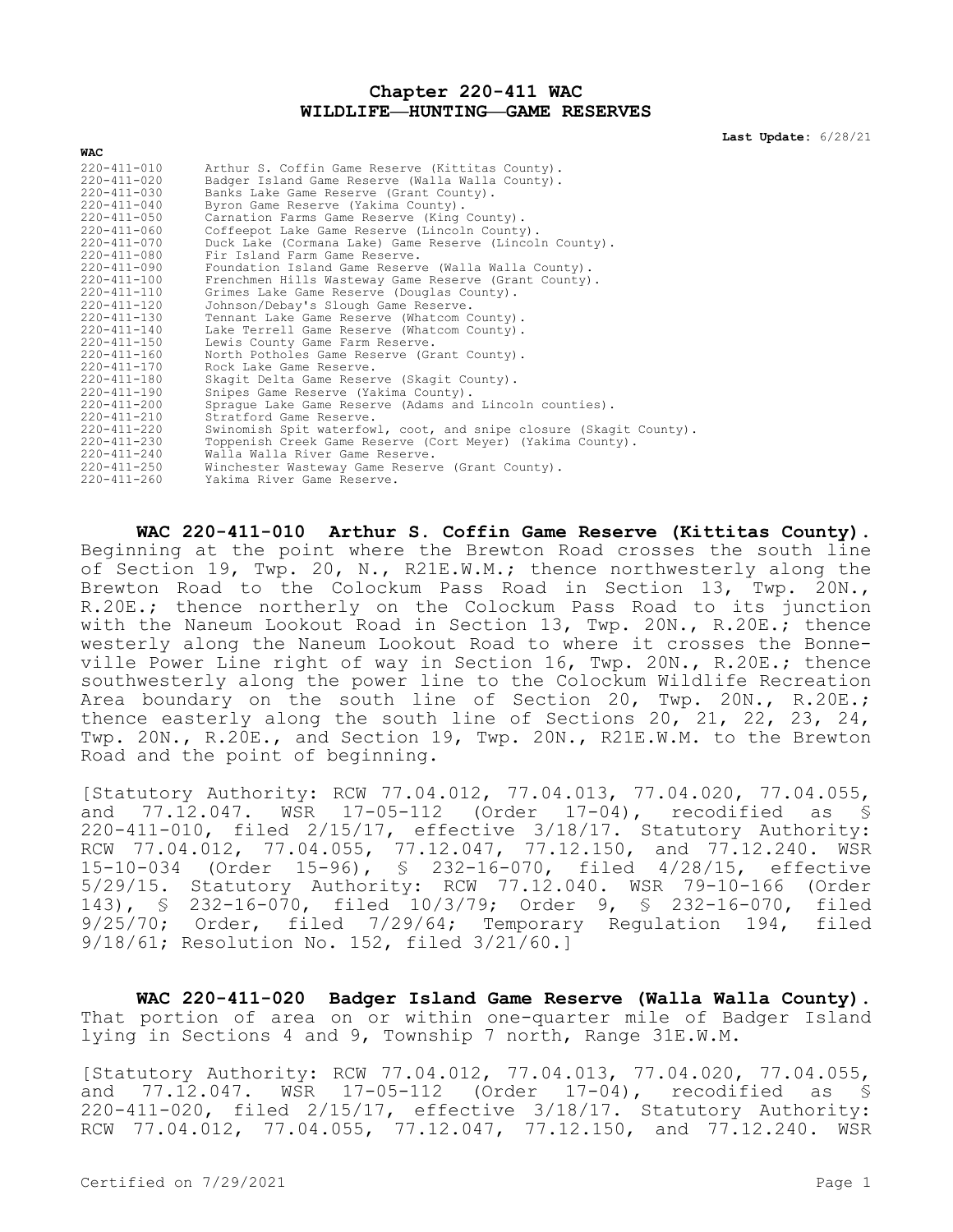## **Chapter 220-411 WAC WILDLIFE—HUNTING—GAME RESERVES**

**Last Update:** 6/28/21

| $220 - 411 - 010$ | Arthur S. Coffin Game Reserve (Kittitas County).                   |
|-------------------|--------------------------------------------------------------------|
| 220-411-020       | Badger Island Game Reserve (Walla Walla County).                   |
| $220 - 411 - 030$ | Banks Lake Game Reserve (Grant County).                            |
| $220 - 411 - 040$ | Byron Game Reserve (Yakima County).                                |
| $220 - 411 - 050$ | Carnation Farms Game Reserve (King County).                        |
| $220 - 411 - 060$ | Coffeepot Lake Game Reserve (Lincoln County).                      |
| $220 - 411 - 070$ | Duck Lake (Cormana Lake) Game Reserve (Lincoln County).            |
| 220-411-080       | Fir Island Farm Game Reserve.                                      |
| $220 - 411 - 090$ | Foundation Island Game Reserve (Walla Walla County).               |
| $220 - 411 - 100$ | Frenchmen Hills Wasteway Game Reserve (Grant County).              |
| 220-411-110       | Grimes Lake Game Reserve (Douglas County).                         |
| $220 - 411 - 120$ | Johnson/Debay's Slough Game Reserve.                               |
| $220 - 411 - 130$ | Tennant Lake Game Reserve (Whatcom County).                        |
| $220 - 411 - 140$ | Lake Terrell Game Reserve (Whatcom County).                        |
| 220-411-150       | Lewis County Game Farm Reserve.                                    |
| $220 - 411 - 160$ | North Potholes Game Reserve (Grant County).                        |
| $220 - 411 - 170$ | Rock Lake Game Reserve.                                            |
| $220 - 411 - 180$ | Skagit Delta Game Reserve (Skagit County).                         |
| $220 - 411 - 190$ | Snipes Game Reserve (Yakima County).                               |
| $220 - 411 - 200$ | Spraque Lake Game Reserve (Adams and Lincoln counties).            |
| $220 - 411 - 210$ | Stratford Game Reserve.                                            |
| 220-411-220       | Swinomish Spit waterfowl, coot, and snipe closure (Skaqit County). |
| $220 - 411 - 230$ | Toppenish Creek Game Reserve (Cort Meyer) (Yakima County).         |
| $220 - 411 - 240$ | Walla Walla River Game Reserve.                                    |
| 220-411-250       | Winchester Wasteway Game Reserve (Grant County).                   |
| 220-411-260       | Yakima River Game Reserve.                                         |
|                   |                                                                    |

**WAC 220-411-010 Arthur S. Coffin Game Reserve (Kittitas County).**  Beginning at the point where the Brewton Road crosses the south line of Section 19, Twp. 20, N., R21E.W.M.; thence northwesterly along the Brewton Road to the Colockum Pass Road in Section 13, Twp. 20N., R.20E.; thence northerly on the Colockum Pass Road to its junction with the Naneum Lookout Road in Section 13, Twp. 20N., R.20E.; thence westerly along the Naneum Lookout Road to where it crosses the Bonneville Power Line right of way in Section 16, Twp. 20N., R.20E.; thence southwesterly along the power line to the Colockum Wildlife Recreation Area boundary on the south line of Section 20, Twp. 20N., R.20E.; thence easterly along the south line of Sections 20, 21, 22, 23, 24, Twp. 20N., R.20E., and Section 19, Twp. 20N., R21E.W.M. to the Brewton Road and the point of beginning.

[Statutory Authority: RCW 77.04.012, 77.04.013, 77.04.020, 77.04.055, and 77.12.047. WSR 17-05-112 (Order 17-04), recodified as § 220-411-010, filed 2/15/17, effective 3/18/17. Statutory Authority: RCW 77.04.012, 77.04.055, 77.12.047, 77.12.150, and 77.12.240. WSR 15-10-034 (Order 15-96), § 232-16-070, filed 4/28/15, effective 5/29/15. Statutory Authority: RCW 77.12.040. WSR 79-10-166 (Order 143), § 232-16-070, filed 10/3/79; Order 9, § 232-16-070, filed 9/25/70; Order, filed 7/29/64; Temporary Regulation 194, filed 9/18/61; Resolution No. 152, filed 3/21/60.]

**WAC 220-411-020 Badger Island Game Reserve (Walla Walla County).**  That portion of area on or within one-quarter mile of Badger Island lying in Sections 4 and 9, Township 7 north, Range 31E.W.M.

[Statutory Authority: RCW 77.04.012, 77.04.013, 77.04.020, 77.04.055, and 77.12.047. WSR 17-05-112 (Order 17-04), recodified as § 220-411-020, filed 2/15/17, effective 3/18/17. Statutory Authority: RCW 77.04.012, 77.04.055, 77.12.047, 77.12.150, and 77.12.240. WSR

**WAC**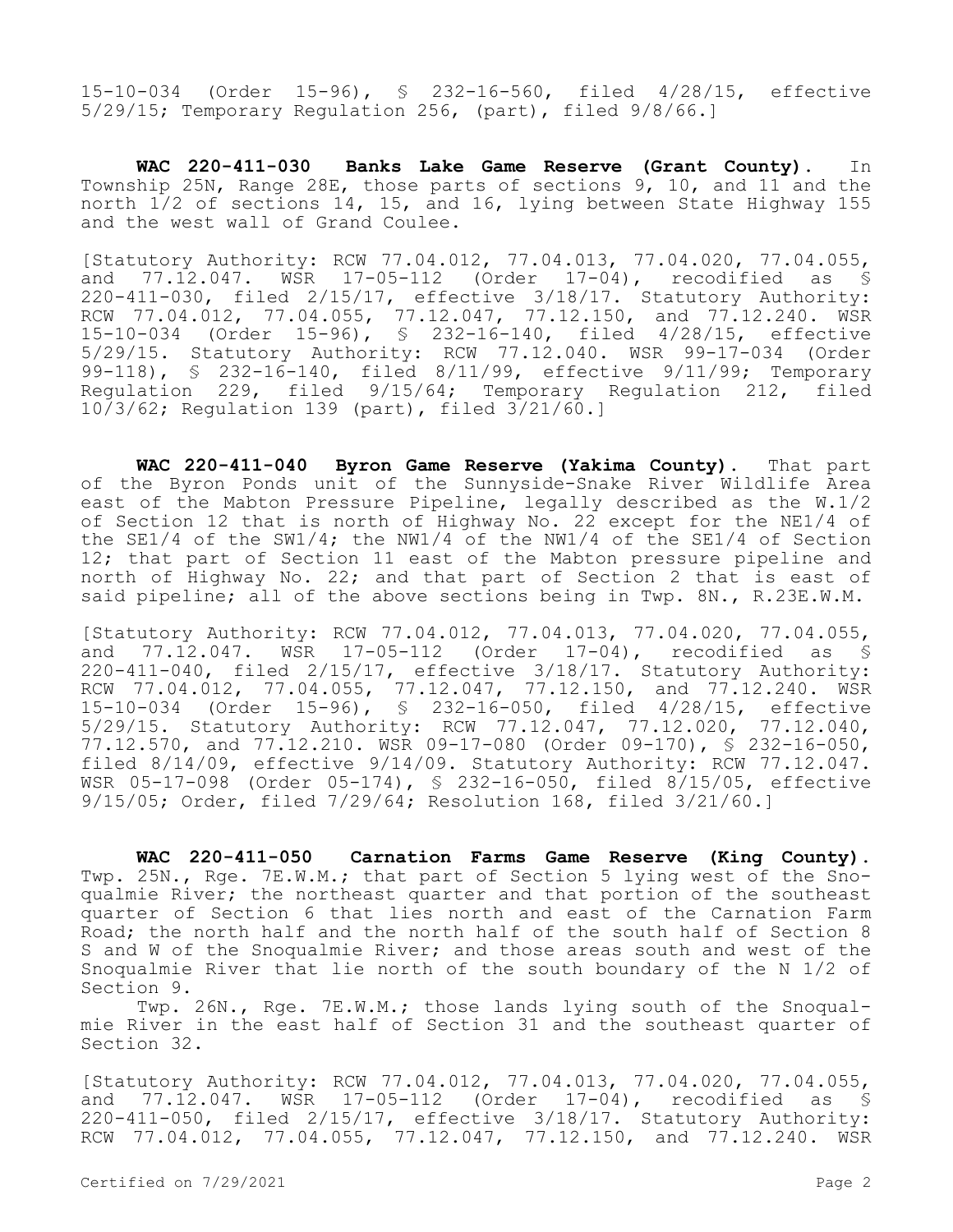15-10-034 (Order 15-96), § 232-16-560, filed 4/28/15, effective 5/29/15; Temporary Regulation 256, (part), filed 9/8/66.]

**WAC 220-411-030 Banks Lake Game Reserve (Grant County).** In Township 25N, Range 28E, those parts of sections 9, 10, and 11 and the north 1/2 of sections 14, 15, and 16, lying between State Highway 155 and the west wall of Grand Coulee.

[Statutory Authority: RCW 77.04.012, 77.04.013, 77.04.020, 77.04.055, and 77.12.047. WSR 17-05-112 (Order 17-04), recodified as § 220-411-030, filed 2/15/17, effective 3/18/17. Statutory Authority: RCW 77.04.012, 77.04.055, 77.12.047, 77.12.150, and 77.12.240. WSR 15-10-034 (Order 15-96), § 232-16-140, filed 4/28/15, effective 5/29/15. Statutory Authority: RCW 77.12.040. WSR 99-17-034 (Order 99-118), § 232-16-140, filed 8/11/99, effective 9/11/99; Temporary Regulation 229, filed 9/15/64; Temporary Regulation 212, filed 10/3/62; Regulation 139 (part), filed 3/21/60.]

**WAC 220-411-040 Byron Game Reserve (Yakima County).** That part of the Byron Ponds unit of the Sunnyside-Snake River Wildlife Area east of the Mabton Pressure Pipeline, legally described as the W.1/2 of Section 12 that is north of Highway No. 22 except for the NE1/4 of the SE1/4 of the SW1/4; the NW1/4 of the NW1/4 of the SE1/4 of Section 12; that part of Section 11 east of the Mabton pressure pipeline and north of Highway No. 22; and that part of Section 2 that is east of said pipeline; all of the above sections being in Twp. 8N., R.23E.W.M.

[Statutory Authority: RCW 77.04.012, 77.04.013, 77.04.020, 77.04.055, and 77.12.047. WSR 17-05-112 (Order 17-04), recodified as § 220-411-040, filed 2/15/17, effective 3/18/17. Statutory Authority: RCW 77.04.012, 77.04.055, 77.12.047, 77.12.150, and 77.12.240. WSR 15-10-034 (Order 15-96), § 232-16-050, filed 4/28/15, effective 5/29/15. Statutory Authority: RCW 77.12.047, 77.12.020, 77.12.040, 77.12.570, and 77.12.210. WSR 09-17-080 (Order 09-170), § 232-16-050, filed 8/14/09, effective 9/14/09. Statutory Authority: RCW 77.12.047. WSR 05-17-098 (Order 05-174), § 232-16-050, filed 8/15/05, effective 9/15/05; Order, filed 7/29/64; Resolution 168, filed 3/21/60.]

**WAC 220-411-050 Carnation Farms Game Reserve (King County).**  Twp. 25N., Rge. 7E.W.M.; that part of Section 5 lying west of the Snoqualmie River; the northeast quarter and that portion of the southeast quarter of Section 6 that lies north and east of the Carnation Farm Road; the north half and the north half of the south half of Section 8 S and W of the Snoqualmie River; and those areas south and west of the Snoqualmie River that lie north of the south boundary of the N 1/2 of Section 9.

Twp. 26N., Rge. 7E.W.M.; those lands lying south of the Snoqualmie River in the east half of Section 31 and the southeast quarter of Section 32.

[Statutory Authority: RCW 77.04.012, 77.04.013, 77.04.020, 77.04.055, and 77.12.047. WSR 17-05-112 (Order 17-04), recodified as § 220-411-050, filed 2/15/17, effective 3/18/17. Statutory Authority: RCW 77.04.012, 77.04.055, 77.12.047, 77.12.150, and 77.12.240. WSR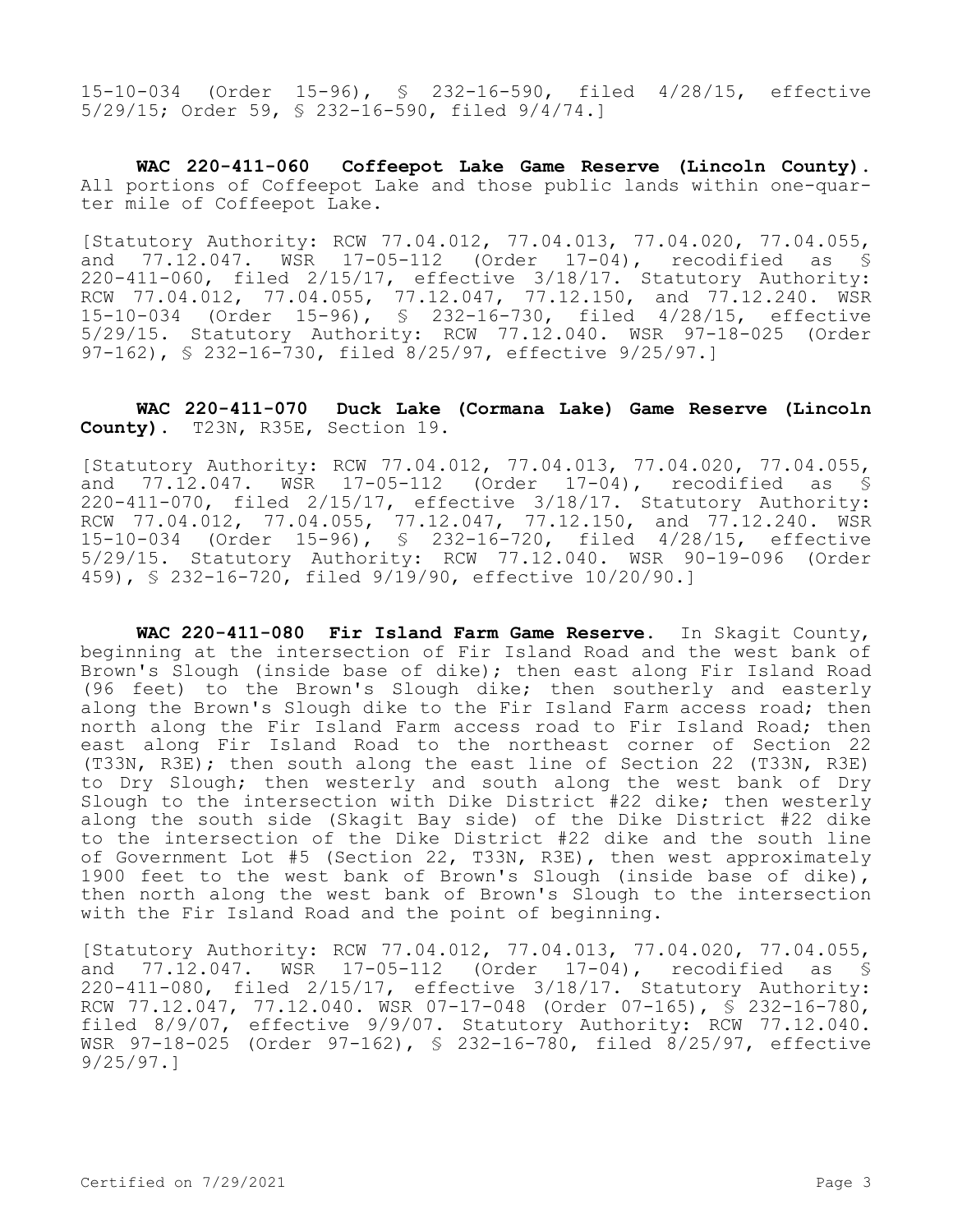15-10-034 (Order 15-96), § 232-16-590, filed 4/28/15, effective 5/29/15; Order 59, § 232-16-590, filed 9/4/74.]

**WAC 220-411-060 Coffeepot Lake Game Reserve (Lincoln County).**  All portions of Coffeepot Lake and those public lands within one-quarter mile of Coffeepot Lake.

[Statutory Authority: RCW 77.04.012, 77.04.013, 77.04.020, 77.04.055, and 77.12.047. WSR 17-05-112 (Order 17-04), recodified as § 220-411-060, filed 2/15/17, effective 3/18/17. Statutory Authority: RCW 77.04.012, 77.04.055, 77.12.047, 77.12.150, and 77.12.240. WSR 15-10-034 (Order 15-96), § 232-16-730, filed 4/28/15, effective 5/29/15. Statutory Authority: RCW 77.12.040. WSR 97-18-025 (Order 97-162), § 232-16-730, filed 8/25/97, effective 9/25/97.]

## **WAC 220-411-070 Duck Lake (Cormana Lake) Game Reserve (Lincoln County).** T23N, R35E, Section 19.

[Statutory Authority: RCW 77.04.012, 77.04.013, 77.04.020, 77.04.055, and 77.12.047. WSR 17-05-112 (Order 17-04), recodified as § 220-411-070, filed 2/15/17, effective 3/18/17. Statutory Authority: RCW 77.04.012, 77.04.055, 77.12.047, 77.12.150, and 77.12.240. WSR 15-10-034 (Order 15-96), § 232-16-720, filed 4/28/15, effective 5/29/15. Statutory Authority: RCW 77.12.040. WSR 90-19-096 (Order 459), § 232-16-720, filed 9/19/90, effective 10/20/90.]

**WAC 220-411-080 Fir Island Farm Game Reserve.** In Skagit County, beginning at the intersection of Fir Island Road and the west bank of Brown's Slough (inside base of dike); then east along Fir Island Road (96 feet) to the Brown's Slough dike; then southerly and easterly along the Brown's Slough dike to the Fir Island Farm access road; then north along the Fir Island Farm access road to Fir Island Road; then east along Fir Island Road to the northeast corner of Section 22  $(T33N, R3E)$ ; then south along the east line of Section 22 (T33N, R3E) to Dry Slough; then westerly and south along the west bank of Dry Slough to the intersection with Dike District #22 dike; then westerly along the south side (Skagit Bay side) of the Dike District #22 dike to the intersection of the Dike District #22 dike and the south line of Government Lot #5 (Section 22, T33N, R3E), then west approximately 1900 feet to the west bank of Brown's Slough (inside base of dike), then north along the west bank of Brown's Slough to the intersection with the Fir Island Road and the point of beginning.

[Statutory Authority: RCW 77.04.012, 77.04.013, 77.04.020, 77.04.055, and 77.12.047. WSR 17-05-112 (Order 17-04), recodified as § 220-411-080, filed 2/15/17, effective 3/18/17. Statutory Authority: RCW 77.12.047, 77.12.040. WSR 07-17-048 (Order 07-165), § 232-16-780, filed 8/9/07, effective 9/9/07. Statutory Authority: RCW 77.12.040. WSR 97-18-025 (Order 97-162), § 232-16-780, filed 8/25/97, effective 9/25/97.]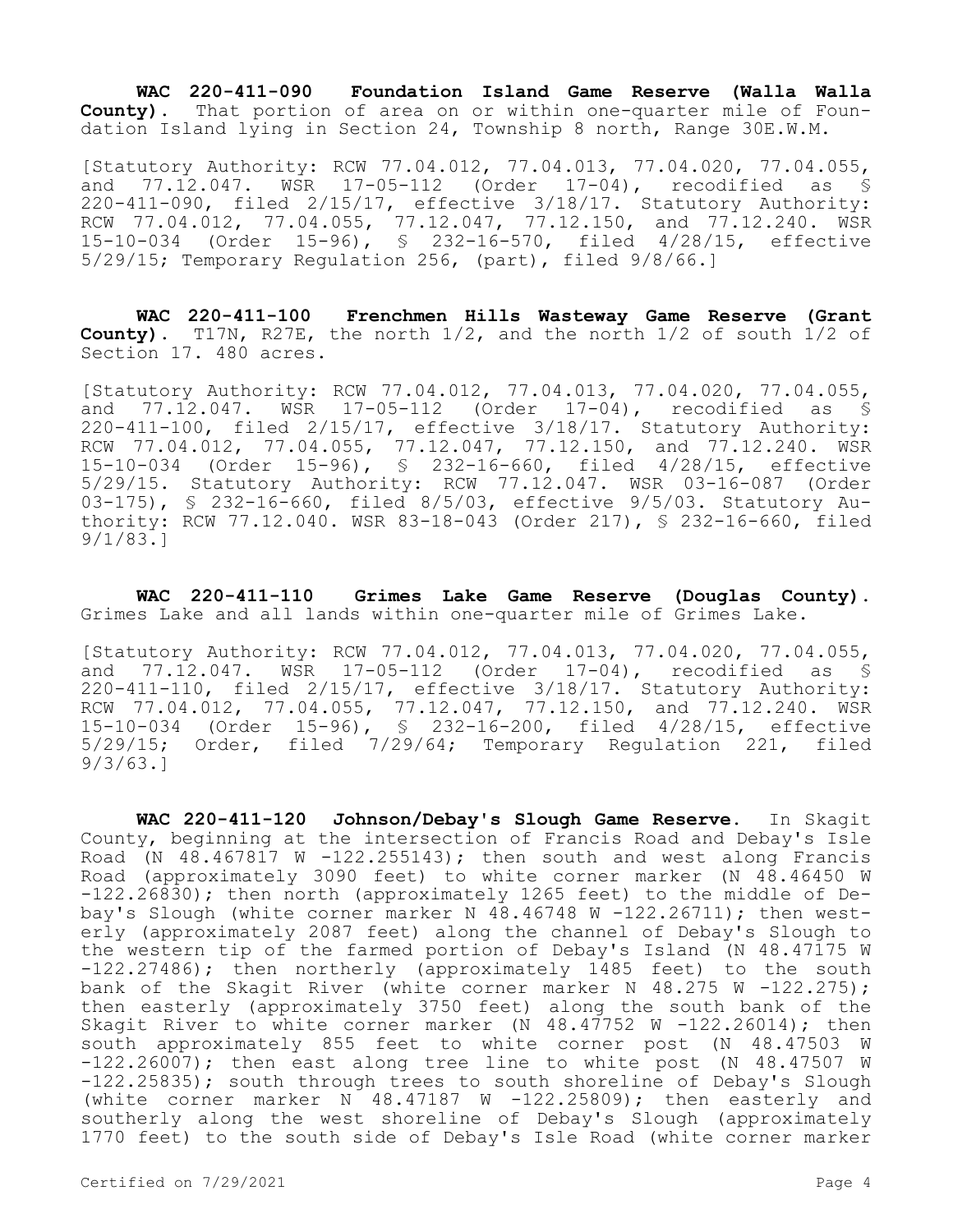**WAC 220-411-090 Foundation Island Game Reserve (Walla Walla County).** That portion of area on or within one-quarter mile of Foundation Island lying in Section 24, Township 8 north, Range 30E.W.M.

[Statutory Authority: RCW 77.04.012, 77.04.013, 77.04.020, 77.04.055, and 77.12.047. WSR 17-05-112 (Order 17-04), recodified as § 220-411-090, filed 2/15/17, effective 3/18/17. Statutory Authority: RCW 77.04.012, 77.04.055, 77.12.047, 77.12.150, and 77.12.240. WSR 15-10-034 (Order 15-96), § 232-16-570, filed 4/28/15, effective 5/29/15; Temporary Regulation 256, (part), filed 9/8/66.]

**WAC 220-411-100 Frenchmen Hills Wasteway Game Reserve (Grant County).** T17N, R27E, the north 1/2, and the north 1/2 of south 1/2 of Section 17. 480 acres.

[Statutory Authority: RCW 77.04.012, 77.04.013, 77.04.020, 77.04.055, and 77.12.047. WSR 17-05-112 (Order 17-04), recodified as § 220-411-100, filed 2/15/17, effective 3/18/17. Statutory Authority: RCW 77.04.012, 77.04.055, 77.12.047, 77.12.150, and 77.12.240. WSR 15-10-034 (Order 15-96), § 232-16-660, filed 4/28/15, effective 5/29/15. Statutory Authority: RCW 77.12.047. WSR 03-16-087 (Order 03-175), § 232-16-660, filed 8/5/03, effective 9/5/03. Statutory Authority: RCW 77.12.040. WSR 83-18-043 (Order 217), § 232-16-660, filed 9/1/83.]

**WAC 220-411-110 Grimes Lake Game Reserve (Douglas County).**  Grimes Lake and all lands within one-quarter mile of Grimes Lake.

[Statutory Authority: RCW 77.04.012, 77.04.013, 77.04.020, 77.04.055, and 77.12.047. WSR 17-05-112 (Order 17-04), recodified as § 220-411-110, filed 2/15/17, effective 3/18/17. Statutory Authority: RCW 77.04.012, 77.04.055, 77.12.047, 77.12.150, and 77.12.240. WSR 15-10-034 (Order 15-96), § 232-16-200, filed 4/28/15, effective 5/29/15; Order, filed 7/29/64; Temporary Regulation 221, filed 9/3/63.]

**WAC 220-411-120 Johnson/Debay's Slough Game Reserve.** In Skagit County, beginning at the intersection of Francis Road and Debay's Isle Road (N  $48.467817$  W  $-122.255143$ ); then south and west along Francis Road (approximately 3090 feet) to white corner marker (N 48.46450 W -122.26830); then north (approximately 1265 feet) to the middle of Debay's Slough (white corner marker N  $48.46748$  W -122.26711); then westerly (approximately 2087 feet) along the channel of Debay's Slough to the western tip of the farmed portion of Debay's Island (N 48.47175 W -122.27486); then northerly (approximately 1485 feet) to the south bank of the Skagit River (white corner marker N 48.275 W -122.275); then easterly (approximately 3750 feet) along the south bank of the Skagit River to white corner marker (N 48.47752 W -122.26014); then south approximately 855 feet to white corner post (N 48.47503 W -122.26007); then east along tree line to white post (N 48.47507 W -122.25835); south through trees to south shoreline of Debay's Slough (white corner marker N  $48.47187$  W  $-122.25809$ ); then easterly and southerly along the west shoreline of Debay's Slough (approximately 1770 feet) to the south side of Debay's Isle Road (white corner marker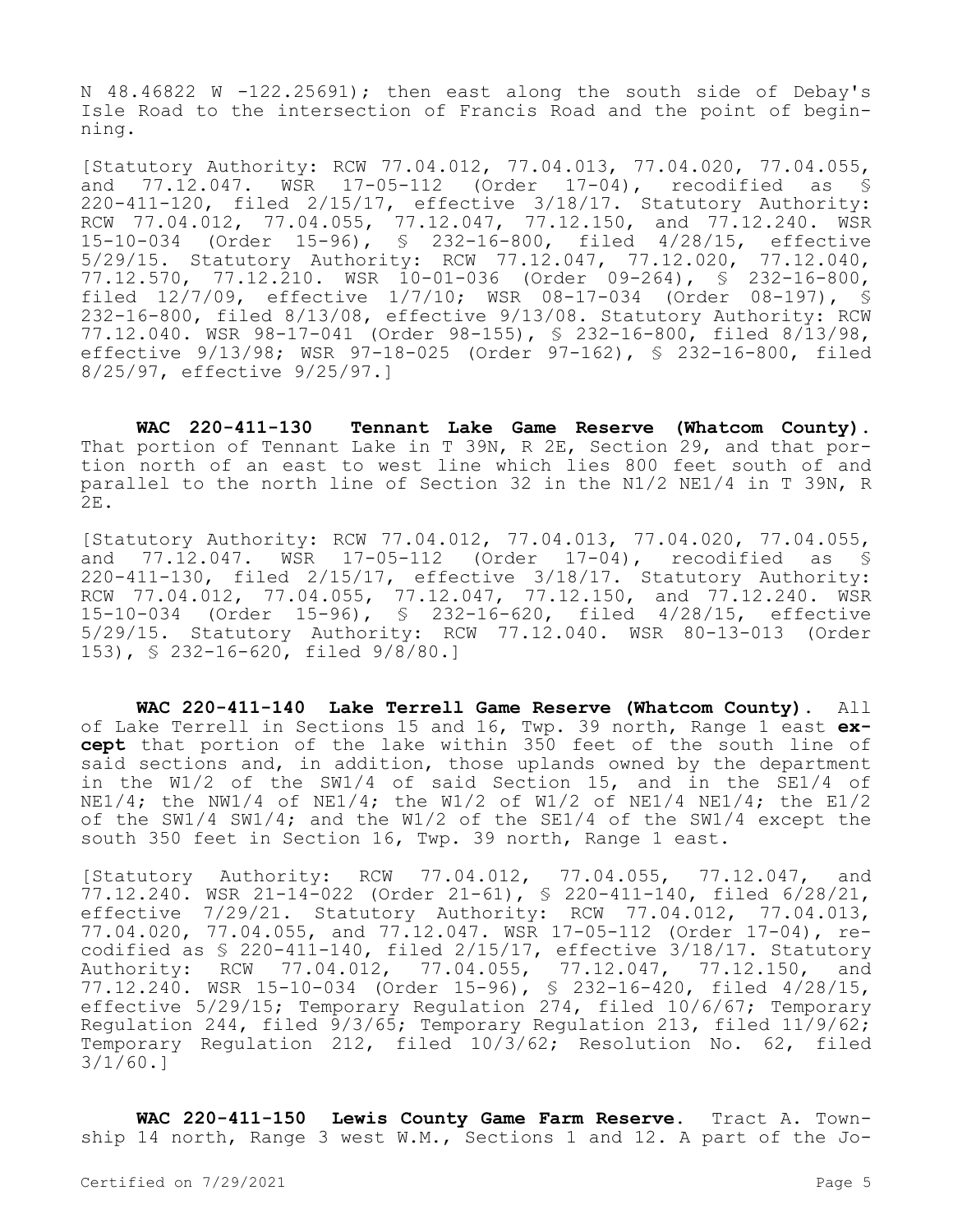N 48.46822 W -122.25691); then east along the south side of Debay's Isle Road to the intersection of Francis Road and the point of beginning.

[Statutory Authority: RCW 77.04.012, 77.04.013, 77.04.020, 77.04.055, and 77.12.047. WSR 17-05-112 (Order 17-04), recodified as § 220-411-120, filed 2/15/17, effective 3/18/17. Statutory Authority: RCW 77.04.012, 77.04.055, 77.12.047, 77.12.150, and 77.12.240. WSR 15-10-034 (Order 15-96), § 232-16-800, filed 4/28/15, effective 5/29/15. Statutory Authority: RCW 77.12.047, 77.12.020, 77.12.570, 77.12.210. WSR 10-01-036 (Order 09-264), § 232-16-800, filed 12/7/09, effective 1/7/10; WSR 08-17-034 (Order 08-197), § 232-16-800, filed 8/13/08, effective 9/13/08. Statutory Authority: RCW 77.12.040. WSR 98-17-041 (Order 98-155), § 232-16-800, filed 8/13/98, effective 9/13/98; WSR 97-18-025 (Order 97-162), § 232-16-800, filed 8/25/97, effective 9/25/97.]

**WAC 220-411-130 Tennant Lake Game Reserve (Whatcom County).**  That portion of Tennant Lake in T 39N, R 2E, Section 29, and that portion north of an east to west line which lies 800 feet south of and parallel to the north line of Section 32 in the N1/2 NE1/4 in T 39N, R  $2E.$ 

[Statutory Authority: RCW 77.04.012, 77.04.013, 77.04.020, 77.04.055, and 77.12.047. WSR 17-05-112 (Order 17-04), recodified as § 220-411-130, filed 2/15/17, effective 3/18/17. Statutory Authority: RCW 77.04.012, 77.04.055, 77.12.047, 77.12.150, and 77.12.240. WSR 15-10-034 (Order 15-96), § 232-16-620, filed 4/28/15, effective 5/29/15. Statutory Authority: RCW 77.12.040. WSR 80-13-013 (Order 153), § 232-16-620, filed 9/8/80.]

**WAC 220-411-140 Lake Terrell Game Reserve (Whatcom County).** All of Lake Terrell in Sections 15 and 16, Twp. 39 north, Range 1 east **except** that portion of the lake within 350 feet of the south line of said sections and, in addition, those uplands owned by the department in the W1/2 of the SW1/4 of said Section 15, and in the SE1/4 of  $N^2$  the NW1/4 of NE1/4; the W1/2 of W1/2 of NE1/4 NE1/4; the E1/2 of the SW1/4 SW1/4; and the W1/2 of the SE1/4 of the SW1/4 except the south 350 feet in Section 16, Twp. 39 north, Range 1 east.

[Statutory Authority: RCW 77.04.012, 77.04.055, 77.12.047, and 77.12.240. WSR 21-14-022 (Order 21-61), § 220-411-140, filed 6/28/21, effective 7/29/21. Statutory Authority: RCW 77.04.012, 77.04.013, 77.04.020, 77.04.055, and 77.12.047. WSR 17-05-112 (Order 17-04), recodified as § 220-411-140, filed 2/15/17, effective 3/18/17. Statutory Authority: RCW 77.04.012, 77.04.055, 77.12.047, 77.12.150, and 77.12.240. WSR 15-10-034 (Order 15-96), § 232-16-420, filed 4/28/15, effective 5/29/15; Temporary Regulation 274, filed 10/6/67; Temporary Regulation 244, filed 9/3/65; Temporary Regulation 213, filed 11/9/62; Temporary Regulation 212, filed 10/3/62; Resolution No. 62, filed 3/1/60.]

**WAC 220-411-150 Lewis County Game Farm Reserve.** Tract A. Township 14 north, Range 3 west W.M., Sections 1 and 12. A part of the Jo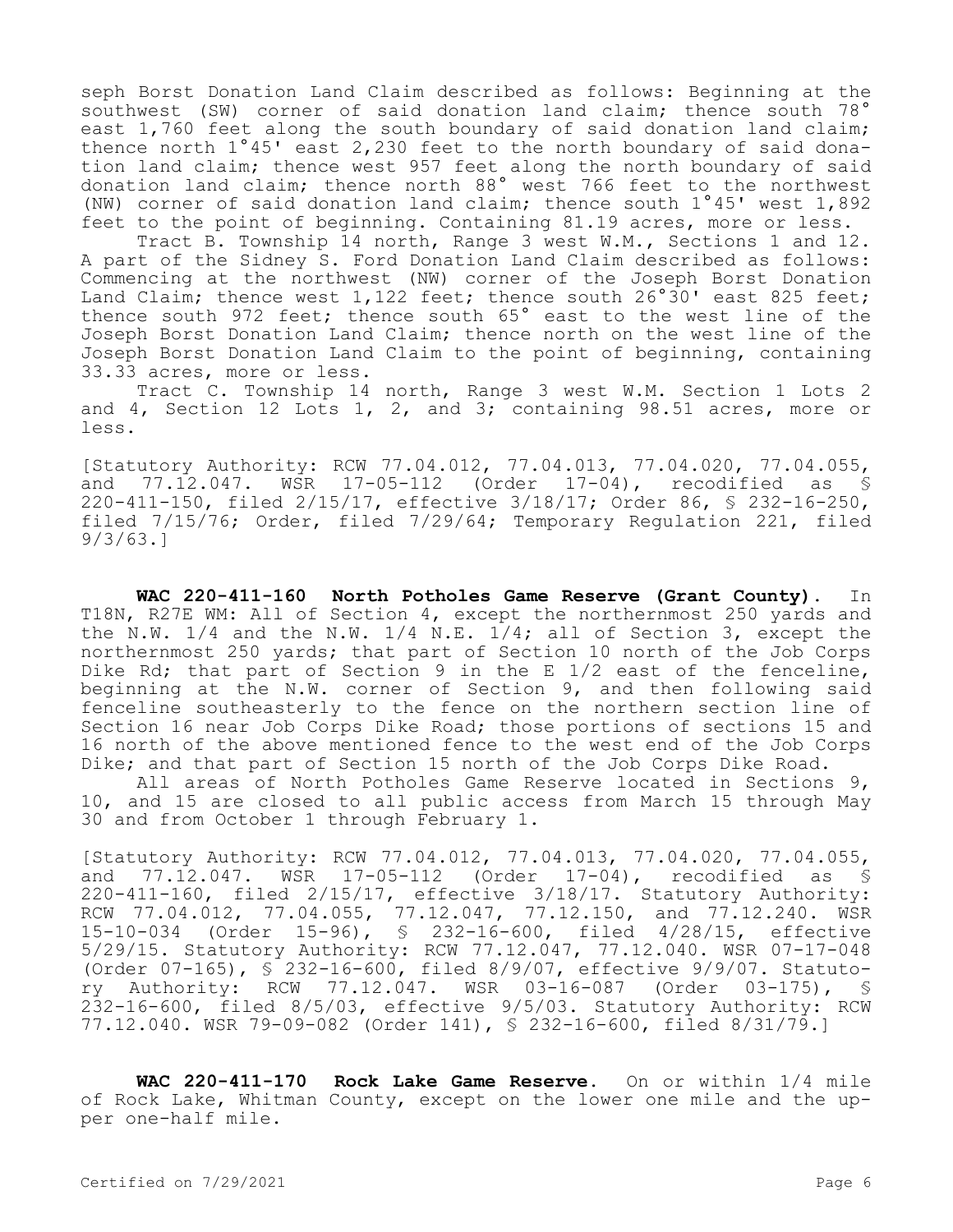seph Borst Donation Land Claim described as follows: Beginning at the southwest (SW) corner of said donation land claim; thence south 78° east 1,760 feet along the south boundary of said donation land claim; thence north 1°45' east 2,230 feet to the north boundary of said donation land claim; thence west 957 feet along the north boundary of said donation land claim; thence north 88° west 766 feet to the northwest (NW) corner of said donation land claim; thence south 1°45' west 1,892 feet to the point of beginning. Containing 81.19 acres, more or less.

Tract B. Township 14 north, Range 3 west W.M., Sections 1 and 12. A part of the Sidney S. Ford Donation Land Claim described as follows: Commencing at the northwest (NW) corner of the Joseph Borst Donation Land Claim; thence west 1,122 feet; thence south 26°30' east 825 feet; thence south 972 feet; thence south 65° east to the west line of the Joseph Borst Donation Land Claim; thence north on the west line of the Joseph Borst Donation Land Claim to the point of beginning, containing 33.33 acres, more or less.

Tract C. Township 14 north, Range 3 west W.M. Section 1 Lots 2 and 4, Section 12 Lots 1, 2, and 3; containing 98.51 acres, more or less.

[Statutory Authority: RCW 77.04.012, 77.04.013, 77.04.020, 77.04.055, and 77.12.047. WSR 17-05-112 (Order 17-04), recodified as § 220-411-150, filed 2/15/17, effective 3/18/17; Order 86, § 232-16-250, filed 7/15/76; Order, filed 7/29/64; Temporary Regulation 221, filed 9/3/63.]

**WAC 220-411-160 North Potholes Game Reserve (Grant County).** In T18N, R27E WM: All of Section 4, except the northernmost 250 yards and the N.W.  $1/4$  and the N.W.  $1/4$  N.E.  $1/4$ ; all of Section 3, except the northernmost 250 yards; that part of Section 10 north of the Job Corps Dike Rd; that part of Section 9 in the E 1/2 east of the fenceline, beginning at the N.W. corner of Section 9, and then following said fenceline southeasterly to the fence on the northern section line of Section 16 near Job Corps Dike Road; those portions of sections 15 and 16 north of the above mentioned fence to the west end of the Job Corps Dike; and that part of Section 15 north of the Job Corps Dike Road.

All areas of North Potholes Game Reserve located in Sections 9, 10, and 15 are closed to all public access from March 15 through May 30 and from October 1 through February 1.

[Statutory Authority: RCW 77.04.012, 77.04.013, 77.04.020, 77.04.055, and 77.12.047. WSR 17-05-112 (Order 17-04), recodified as § 220-411-160, filed 2/15/17, effective 3/18/17. Statutory Authority: RCW 77.04.012, 77.04.055, 77.12.047, 77.12.150, and 77.12.240. WSR 15-10-034 (Order 15-96), § 232-16-600, filed 4/28/15, effective 5/29/15. Statutory Authority: RCW 77.12.047, 77.12.040. WSR 07-17-048 (Order 07-165), § 232-16-600, filed 8/9/07, effective 9/9/07. Statutory Authority: RCW 77.12.047. WSR 03-16-087 (Order 03-175), § 232-16-600, filed 8/5/03, effective 9/5/03. Statutory Authority: RCW 77.12.040. WSR 79-09-082 (Order 141), § 232-16-600, filed 8/31/79.]

**WAC 220-411-170 Rock Lake Game Reserve.** On or within 1/4 mile of Rock Lake, Whitman County, except on the lower one mile and the upper one-half mile.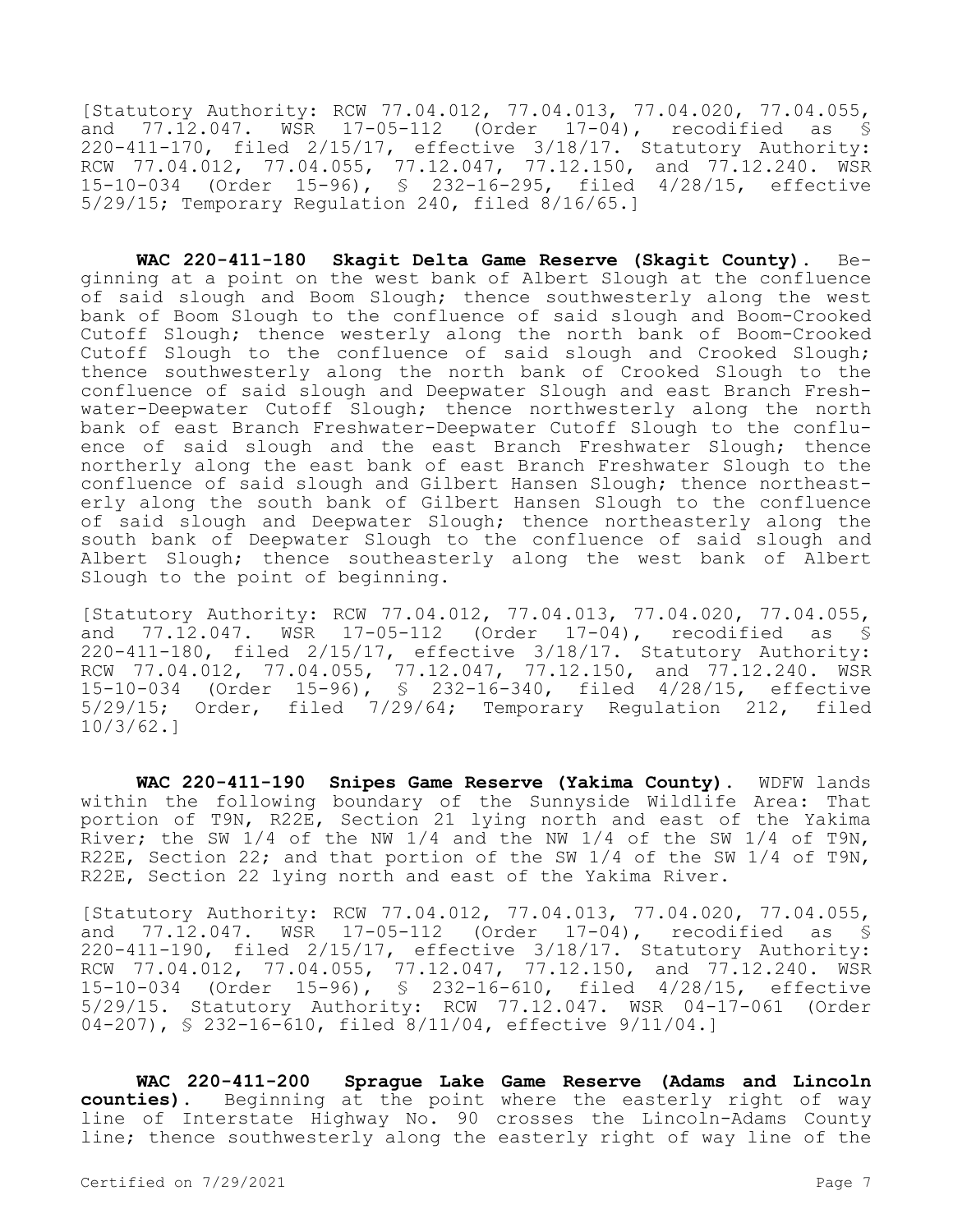[Statutory Authority: RCW 77.04.012, 77.04.013, 77.04.020, 77.04.055, and 77.12.047. WSR 17-05-112 (Order 17-04), recodified as § 220-411-170, filed 2/15/17, effective 3/18/17. Statutory Authority: RCW 77.04.012, 77.04.055, 77.12.047, 77.12.150, and 77.12.240. WSR 15-10-034 (Order 15-96), § 232-16-295, filed 4/28/15, effective 5/29/15; Temporary Regulation 240, filed 8/16/65.]

**WAC 220-411-180 Skagit Delta Game Reserve (Skagit County).** Beginning at a point on the west bank of Albert Slough at the confluence of said slough and Boom Slough; thence southwesterly along the west bank of Boom Slough to the confluence of said slough and Boom-Crooked Cutoff Slough; thence westerly along the north bank of Boom-Crooked Cutoff Slough to the confluence of said slough and Crooked Slough; thence southwesterly along the north bank of Crooked Slough to the confluence of said slough and Deepwater Slough and east Branch Freshwater-Deepwater Cutoff Slough; thence northwesterly along the north bank of east Branch Freshwater-Deepwater Cutoff Slough to the confluence of said slough and the east Branch Freshwater Slough; thence northerly along the east bank of east Branch Freshwater Slough to the confluence of said slough and Gilbert Hansen Slough; thence northeasterly along the south bank of Gilbert Hansen Slough to the confluence of said slough and Deepwater Slough; thence northeasterly along the south bank of Deepwater Slough to the confluence of said slough and Albert Slough; thence southeasterly along the west bank of Albert Slough to the point of beginning.

[Statutory Authority: RCW 77.04.012, 77.04.013, 77.04.020, 77.04.055, and 77.12.047. WSR 17-05-112 (Order 17-04), recodified as § 220-411-180, filed 2/15/17, effective 3/18/17. Statutory Authority: RCW 77.04.012, 77.04.055, 77.12.047, 77.12.150, and 77.12.240. WSR 15-10-034 (Order 15-96), § 232-16-340, filed 4/28/15, effective 5/29/15; Order, filed 7/29/64; Temporary Regulation 212, filed 10/3/62.]

**WAC 220-411-190 Snipes Game Reserve (Yakima County).** WDFW lands within the following boundary of the Sunnyside Wildlife Area: That portion of T9N, R22E, Section 21 lying north and east of the Yakima River; the SW 1/4 of the NW 1/4 and the NW 1/4 of the SW 1/4 of T9N, R22E, Section 22; and that portion of the SW 1/4 of the SW 1/4 of T9N, R22E, Section 22 lying north and east of the Yakima River.

[Statutory Authority: RCW 77.04.012, 77.04.013, 77.04.020, 77.04.055, and 77.12.047. WSR 17-05-112 (Order 17-04), recodified as § 220-411-190, filed 2/15/17, effective 3/18/17. Statutory Authority: RCW 77.04.012, 77.04.055, 77.12.047, 77.12.150, and 77.12.240. WSR 15-10-034 (Order 15-96), § 232-16-610, filed 4/28/15, effective 5/29/15. Statutory Authority: RCW 77.12.047. WSR 04-17-061 (Order 04-207), § 232-16-610, filed 8/11/04, effective 9/11/04.]

**WAC 220-411-200 Sprague Lake Game Reserve (Adams and Lincoln counties).** Beginning at the point where the easterly right of way line of Interstate Highway No. 90 crosses the Lincoln-Adams County line; thence southwesterly along the easterly right of way line of the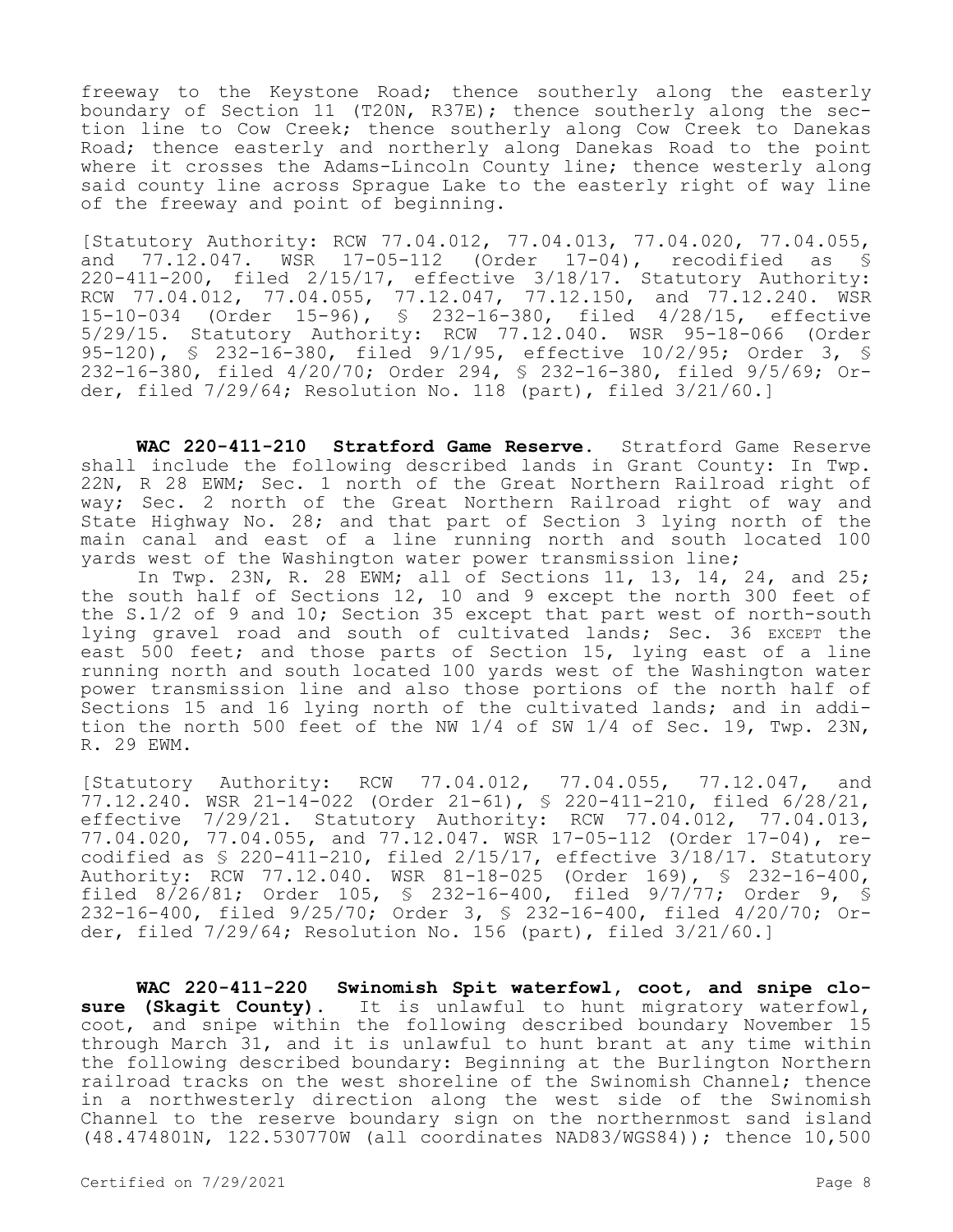freeway to the Keystone Road; thence southerly along the easterly boundary of Section 11 (T20N, R37E); thence southerly along the section line to Cow Creek; thence southerly along Cow Creek to Danekas Road; thence easterly and northerly along Danekas Road to the point where it crosses the Adams-Lincoln County line; thence westerly along said county line across Sprague Lake to the easterly right of way line of the freeway and point of beginning.

[Statutory Authority: RCW 77.04.012, 77.04.013, 77.04.020, 77.04.055, and 77.12.047. WSR 17-05-112 (Order 17-04), recodified as § 220-411-200, filed 2/15/17, effective 3/18/17. Statutory Authority: RCW 77.04.012, 77.04.055, 77.12.047, 77.12.150, and 77.12.240. WSR 15-10-034 (Order 15-96), § 232-16-380, filed 4/28/15, effective 5/29/15. Statutory Authority: RCW 77.12.040. WSR 95-18-066 (Order 95-120), § 232-16-380, filed 9/1/95, effective 10/2/95; Order 3, § 232-16-380, filed 4/20/70; Order 294, § 232-16-380, filed 9/5/69; Order, filed 7/29/64; Resolution No. 118 (part), filed 3/21/60.]

**WAC 220-411-210 Stratford Game Reserve.** Stratford Game Reserve shall include the following described lands in Grant County: In Twp. 22N, R 28 EWM; Sec. 1 north of the Great Northern Railroad right of way; Sec. 2 north of the Great Northern Railroad right of way and State Highway No. 28; and that part of Section 3 lying north of the main canal and east of a line running north and south located 100 yards west of the Washington water power transmission line;

In Twp. 23N, R. 28 EWM; all of Sections 11, 13, 14, 24, and 25; the south half of Sections 12, 10 and 9 except the north 300 feet of the S.1/2 of 9 and 10; Section 35 except that part west of north-south lying gravel road and south of cultivated lands; Sec. 36 EXCEPT the east 500 feet; and those parts of Section 15, lying east of a line running north and south located 100 yards west of the Washington water power transmission line and also those portions of the north half of Sections 15 and 16 lying north of the cultivated lands; and in addition the north 500 feet of the NW 1/4 of SW 1/4 of Sec. 19, Twp. 23N, R. 29 EWM.

[Statutory Authority: RCW 77.04.012, 77.04.055, 77.12.047, and 77.12.240. WSR 21-14-022 (Order 21-61), § 220-411-210, filed 6/28/21, effective 7/29/21. Statutory Authority: RCW 77.04.012, 77.04.013, 77.04.020, 77.04.055, and 77.12.047. WSR 17-05-112 (Order 17-04), recodified as § 220-411-210, filed 2/15/17, effective 3/18/17. Statutory Authority: RCW 77.12.040. WSR 81-18-025 (Order 169), § 232-16-400, filed 8/26/81; Order 105, § 232-16-400, filed 9/7/77; Order 9, § 232-16-400, filed 9/25/70; Order 3, § 232-16-400, filed 4/20/70; Order, filed 7/29/64; Resolution No. 156 (part), filed 3/21/60.]

**WAC 220-411-220 Swinomish Spit waterfowl, coot, and snipe closure (Skagit County).** It is unlawful to hunt migratory waterfowl, coot, and snipe within the following described boundary November 15 through March 31, and it is unlawful to hunt brant at any time within the following described boundary: Beginning at the Burlington Northern railroad tracks on the west shoreline of the Swinomish Channel; thence in a northwesterly direction along the west side of the Swinomish Channel to the reserve boundary sign on the northernmost sand island (48.474801N, 122.530770W (all coordinates NAD83/WGS84)); thence 10,500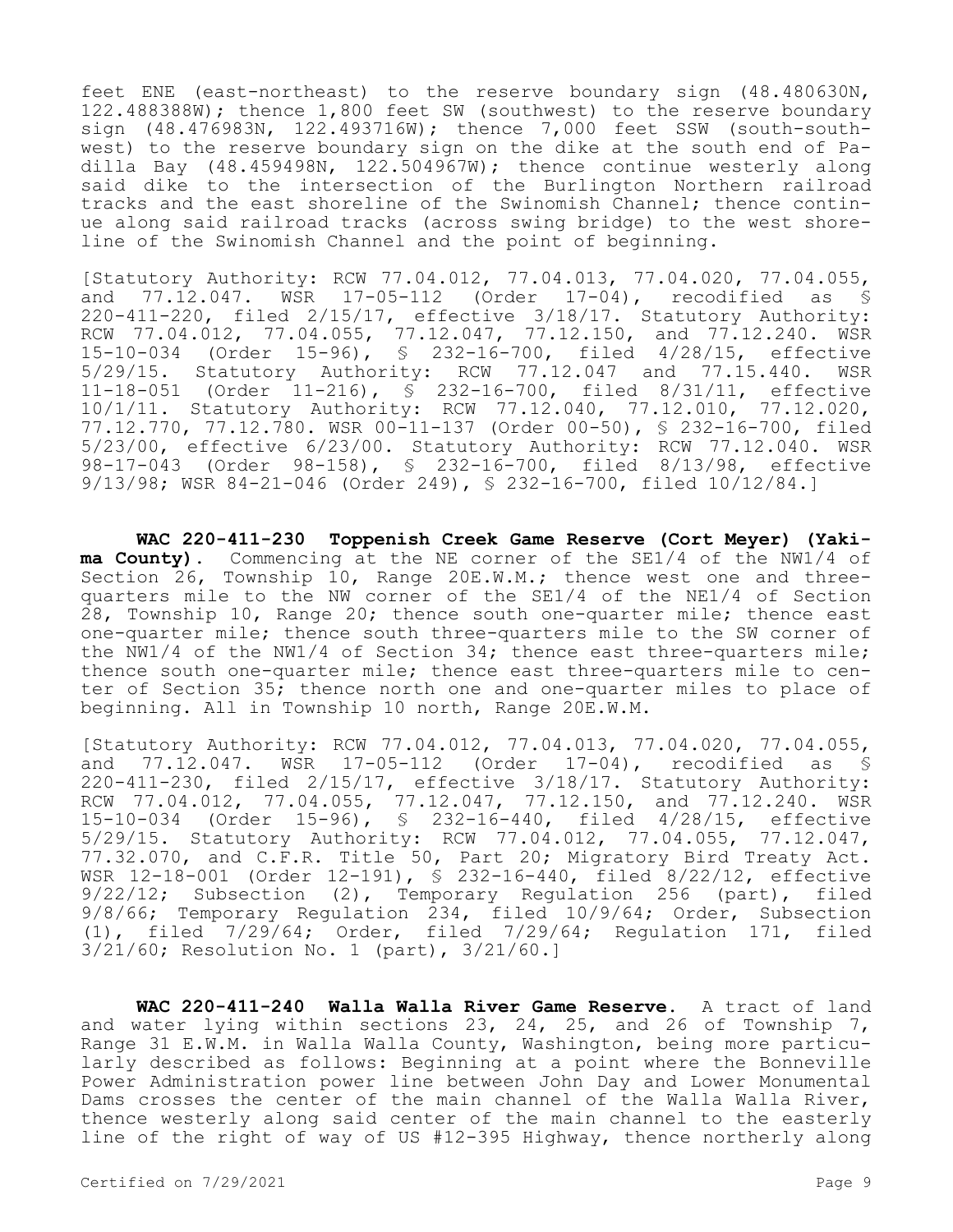feet ENE (east-northeast) to the reserve boundary sign (48.480630N, 122.488388W); thence 1,800 feet SW (southwest) to the reserve boundary sign (48.476983N, 122.493716W); thence 7,000 feet SSW (south-southwest) to the reserve boundary sign on the dike at the south end of Padilla Bay  $(48.459498N, 122.504967W)$ ; thence continue westerly along said dike to the intersection of the Burlington Northern railroad tracks and the east shoreline of the Swinomish Channel; thence continue along said railroad tracks (across swing bridge) to the west shoreline of the Swinomish Channel and the point of beginning.

[Statutory Authority: RCW 77.04.012, 77.04.013, 77.04.020, 77.04.055,<br>and 77.12.047. WSR 17-05-112 (Order 17-04), recodified as \$ and 77.12.047. WSR 17-05-112 (Order 17-04), recodified as § 220-411-220, filed 2/15/17, effective 3/18/17. Statutory Authority: RCW 77.04.012, 77.04.055, 77.12.047, 77.12.150, and 77.12.240. WSR 15-10-034 (Order 15-96), § 232-16-700, filed 4/28/15, effective 5/29/15. Statutory Authority: RCW 77.12.047 and 77.15.440. WSR 11-18-051 (Order 11-216), § 232-16-700, filed 8/31/11, effective 10/1/11. Statutory Authority: RCW 77.12.040, 77.12.010, 77.12.020, 77.12.770, 77.12.780. WSR 00-11-137 (Order 00-50), § 232-16-700, filed 5/23/00, effective 6/23/00. Statutory Authority: RCW 77.12.040. WSR 98-17-043 (Order 98-158), § 232-16-700, filed 8/13/98, effective 9/13/98; WSR 84-21-046 (Order 249), § 232-16-700, filed 10/12/84.]

**WAC 220-411-230 Toppenish Creek Game Reserve (Cort Meyer) (Yakima County).** Commencing at the NE corner of the SE1/4 of the NW1/4 of Section 26, Township 10, Range 20E.W.M.; thence west one and threequarters mile to the NW corner of the SE1/4 of the NE1/4 of Section 28, Township 10, Range 20; thence south one-quarter mile; thence east one-quarter mile; thence south three-quarters mile to the SW corner of the NW1/4 of the NW1/4 of Section 34; thence east three-quarters mile; thence south one-quarter mile; thence east three-quarters mile to center of Section 35; thence north one and one-quarter miles to place of beginning. All in Township 10 north, Range 20E.W.M.

[Statutory Authority: RCW 77.04.012, 77.04.013, 77.04.020, 77.04.055, and 77.12.047. WSR 17-05-112 (Order 17-04), recodified as § 220-411-230, filed 2/15/17, effective 3/18/17. Statutory Authority: RCW 77.04.012, 77.04.055, 77.12.047, 77.12.150, and 77.12.240. WSR 15-10-034 (Order 15-96), § 232-16-440, filed 4/28/15, effective 5/29/15. Statutory Authority: RCW 77.04.012, 77.04.055, 77.12.047, 77.32.070, and C.F.R. Title 50, Part 20; Migratory Bird Treaty Act. WSR 12-18-001 (Order 12-191), § 232-16-440, filed 8/22/12, effective 9/22/12; Subsection (2), Temporary Regulation 256 (part), filed 9/8/66; Temporary Regulation 234, filed 10/9/64; Order, Subsection (1), filed 7/29/64; Order, filed 7/29/64; Regulation 171, filed 3/21/60; Resolution No. 1 (part), 3/21/60.]

**WAC 220-411-240 Walla Walla River Game Reserve.** A tract of land and water lying within sections 23, 24, 25, and 26 of Township 7, Range 31 E.W.M. in Walla Walla County, Washington, being more particularly described as follows: Beginning at a point where the Bonneville Power Administration power line between John Day and Lower Monumental Dams crosses the center of the main channel of the Walla Walla River, thence westerly along said center of the main channel to the easterly line of the right of way of US #12-395 Highway, thence northerly along